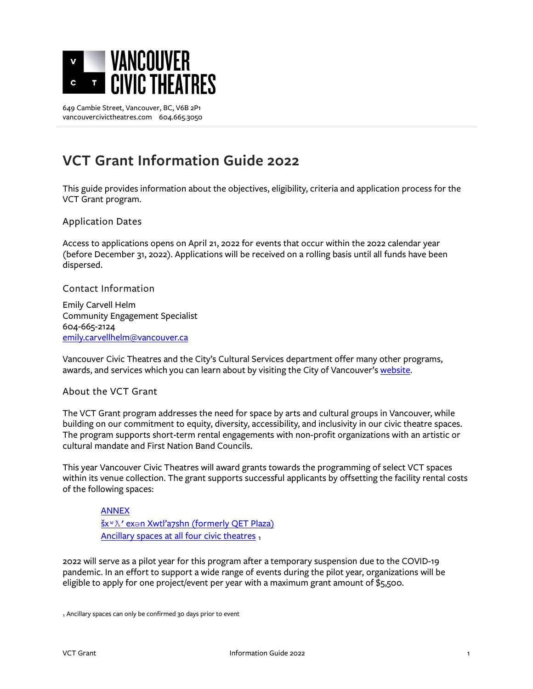

# **VCT Grant Information Guide 2022**

This guide provides information about the objectives, eligibility, criteria and application process for the VCT Grant program.

Application Dates

Access to applications opens on April 21, 2022 for events that occur within the 2022 calendar year (before December 31, 2022). Applications will be received on a rolling basis until all funds have been dispersed.

Contact Information

Emily Carvell Helm Community Engagement Specialist 604-665-2124 [emily.carvellhelm@vancouver.ca](mailto:emily.carvellhelm@vancouver.ca)

Vancouver Civic Theatres and the City's Cultural Services department offer many other programs, awards, and services which you can learn about by visiting the City of Vancouver's [website.](http://vancouver.ca/people-programs/arts-and-culture-grants.aspx)

#### About the VCT Grant

The VCT Grant program addresses the need for space by arts and cultural groups in Vancouver, while building on our commitment to equity, diversity, accessibility, and inclusivity in our civic theatre spaces. The program supports short-term rental engagements with non-profit organizations with an artistic or cultural mandate and First Nation Band Councils.

This year Vancouver Civic Theatres will award grants towards the programming of select VCT spaces within its venue collection. The grant supports successful applicants by offsetting the facility rental costs of the following spaces:

# [ANNEX](https://vancouvercivictheatres.com/venues/annex/)

šx<sup>w</sup> X' exə[n Xwtl'a7shn \(formerly QET Plaza\)](https://vancouvercivictheatres.com/venues/%C5%A1x%CA%B7%C6%9B-ex%C9%99n-xwtl-a7shn-formerly-the-qet-plaza/) Ancillary spaces [at all four civic theatres](https://vancouvercivictheatres.com/plan-an-event/room-rentals/) 1

2022 will serve as a pilot year for this program after a temporary suspension due to the COVID-19 pandemic. In an effort to support a wide range of events during the pilot year, organizations will be eligible to apply for one project/event per year with a maximum grant amount of \$5,500.

1 Ancillary spaces can only be confirmed 30 days prior to event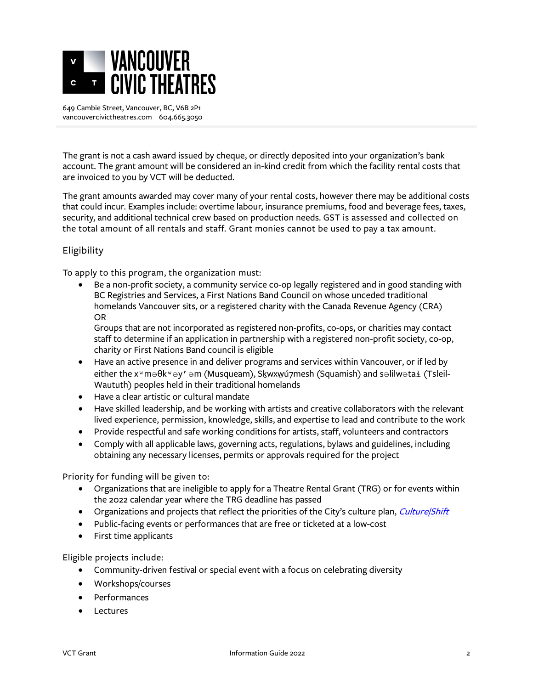

The grant is not a cash award issued by cheque, or directly deposited into your organization's bank account. The grant amount will be considered an in-kind credit from which the facility rental costs that are invoiced to you by VCT will be deducted.

The grant amounts awarded may cover many of your rental costs, however there may be additional costs that could incur. Examples include: overtime labour, insurance premiums, food and beverage fees, taxes, security, and additional technical crew based on production needs. GST is assessed and collected on the total amount of all rentals and staff. Grant monies cannot be used to pay a tax amount.

## Eligibility

To apply to this program, the organization must:

• Be a non-profit society, a community service co-op legally registered and in good standing with BC Registries and Services, a First Nations Band Council on whose unceded traditional homelands Vancouver sits, or a registered charity with the Canada Revenue Agency (CRA) OR

Groups that are not incorporated as registered non-profits, co-ops, or charities may contact staff to determine if an application in partnership with a registered non-profit society, co-op, charity or First Nations Band council is eligible

- Have an active presence in and deliver programs and services within Vancouver, or if led by either the x<sup>w</sup>məθk<sup>w</sup>əy' əm (Musqueam), Skwxwú7mesh (Squamish) and səlilwətal (Tsleil-Waututh) peoples held in their traditional homelands
- Have a clear artistic or cultural mandate
- Have skilled leadership, and be working with artists and creative collaborators with the relevant lived experience, permission, knowledge, skills, and expertise to lead and contribute to the work
- Provide respectful and safe working conditions for artists, staff, volunteers and contractors
- Comply with all applicable laws, governing acts, regulations, bylaws and guidelines, including obtaining any necessary licenses, permits or approvals required for the project

Priority for funding will be given to:

- Organizations that are ineligible to apply for a Theatre Rental Grant (TRG) or for events within the 2022 calendar year where the TRG deadline has passed
- Organizations and projects that reflect the priorities of the City's culture plan, *Culture/Shift*
- Public-facing events or performances that are free or ticketed at a low-cost
- First time applicants

Eligible projects include:

- Community-driven festival or special event with a focus on celebrating diversity
- Workshops/courses
- Performances
- Lectures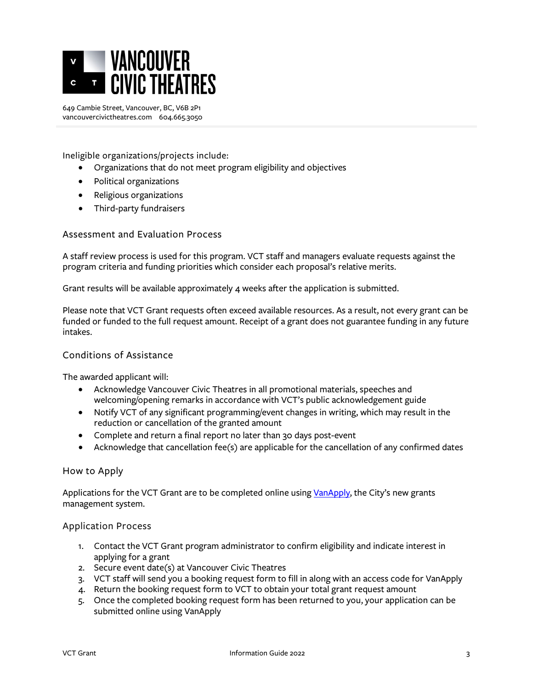

Ineligible organizations/projects include:

- Organizations that do not meet program eligibility and objectives
- Political organizations
- Religious organizations
- Third-party fundraisers

#### Assessment and Evaluation Process

A staff review process is used for this program. VCT staff and managers evaluate requests against the program criteria and funding priorities which consider each proposal's relative merits.

Grant results will be available approximately 4 weeks after the application is submitted.

Please note that VCT Grant requests often exceed available resources. As a result, not every grant can be funded or funded to the full request amount. Receipt of a grant does not guarantee funding in any future intakes.

### Conditions of Assistance

The awarded applicant will:

- Acknowledge Vancouver Civic Theatres in all promotional materials, speeches and welcoming/opening remarks in accordance with VCT's public acknowledgement guide
- Notify VCT of any significant programming/event changes in writing, which may result in the reduction or cancellation of the granted amount
- Complete and return a final report no later than 30 days post-event
- Acknowledge that cancellation fee(s) are applicable for the cancellation of any confirmed dates

#### How to Apply

Applications for the VCT Grant are to be completed online using [VanApply,](https://vanapply.vancouver.ca/) the City's new grants management system.

#### Application Process

- 1. Contact the VCT Grant program administrator to confirm eligibility and indicate interest in applying for a grant
- 2. Secure event date(s) at Vancouver Civic Theatres
- 3. VCT staff will send you a booking request form to fill in along with an access code for VanApply
- 4. Return the booking request form to VCT to obtain your total grant request amount
- 5. Once the completed booking request form has been returned to you, your application can be submitted online using VanApply